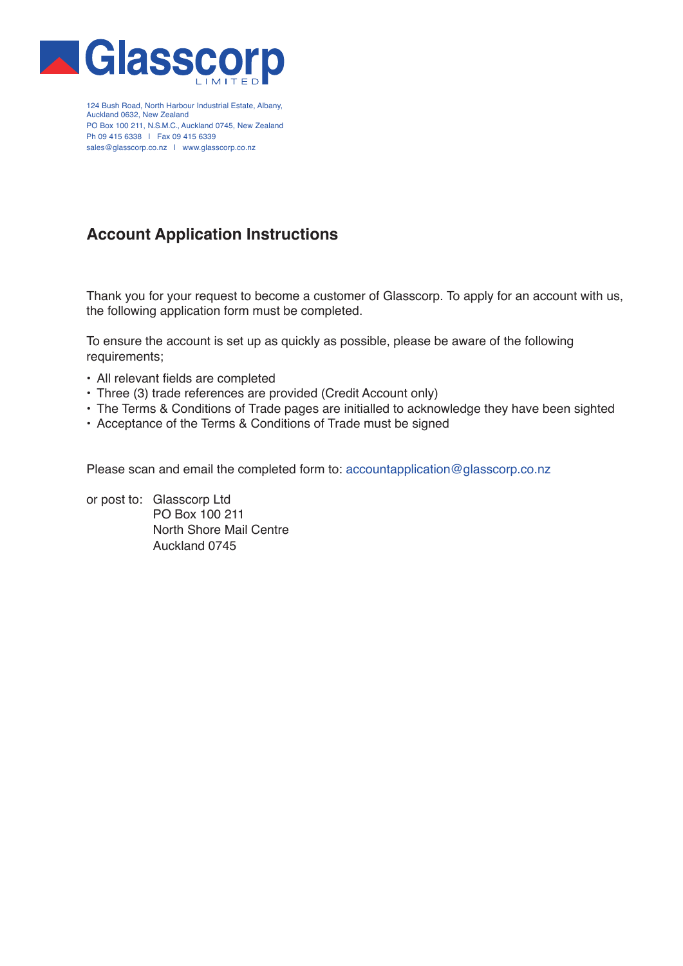

124 Bush Road, North Harbour Industrial Estate, Albany, Auckland 0632, New Zealand PO Box 100 211, N.S.M.C., Auckland 0745, New Zealand Ph 09 415 6338 | Fax 09 415 6339 sales@glasscorp.co.nz | www.glasscorp.co.nz

# **Account Application Instructions**

Thank you for your request to become a customer of Glasscorp. To apply for an account with us, the following application form must be completed.

To ensure the account is set up as quickly as possible, please be aware of the following requirements;

- All relevant fields are completed
- Three (3) trade references are provided (Credit Account only)
- The Terms & Conditions of Trade pages are initialled to acknowledge they have been sighted
- Acceptance of the Terms & Conditions of Trade must be signed

Please scan and email the completed form to: accountapplication@glasscorp.co.nz

or post to: Glasscorp Ltd PO Box 100 211 North Shore Mail Centre Auckland 0745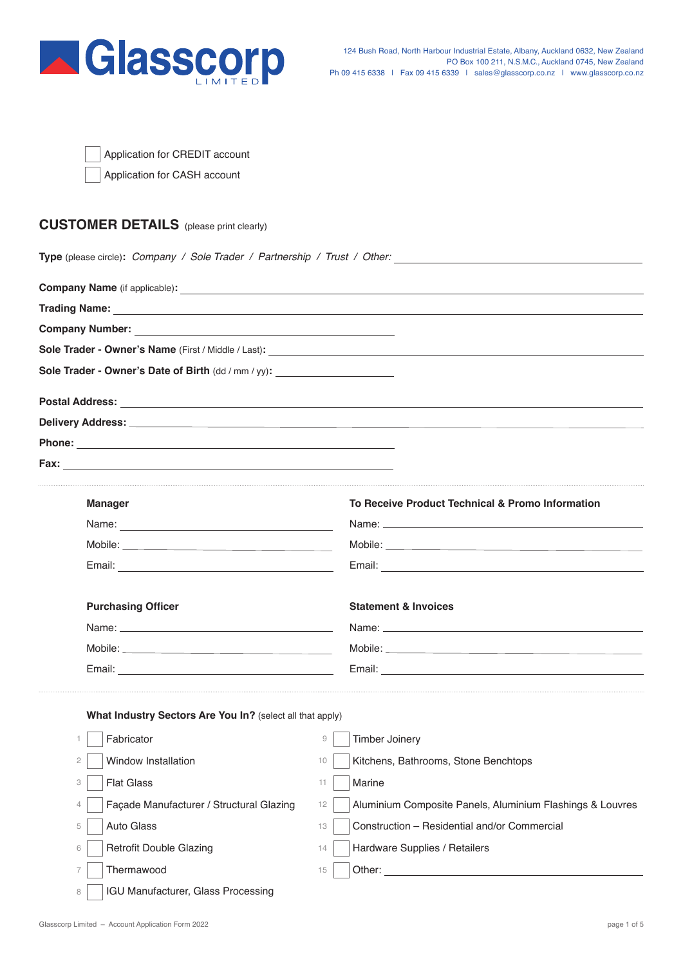

| Application for CREDIT account |  |  |  |  |  |
|--------------------------------|--|--|--|--|--|
|--------------------------------|--|--|--|--|--|

Application for CASH account

# **CUSTOMER DETAILS** (please print clearly)

**Type** (please circle)**:** *Company / Sole Trader / Partnership / Trust / Other:*

| Company Name (if applicable): <u>company</u> Name (if applicable):                                              |                                                                                                                                                                                                                                      |
|-----------------------------------------------------------------------------------------------------------------|--------------------------------------------------------------------------------------------------------------------------------------------------------------------------------------------------------------------------------------|
|                                                                                                                 |                                                                                                                                                                                                                                      |
|                                                                                                                 |                                                                                                                                                                                                                                      |
|                                                                                                                 |                                                                                                                                                                                                                                      |
| Sole Trader - Owner's Date of Birth (dd / mm / yy): ____________________________                                |                                                                                                                                                                                                                                      |
|                                                                                                                 |                                                                                                                                                                                                                                      |
|                                                                                                                 |                                                                                                                                                                                                                                      |
|                                                                                                                 |                                                                                                                                                                                                                                      |
|                                                                                                                 |                                                                                                                                                                                                                                      |
| <b>Manager</b>                                                                                                  | To Receive Product Technical & Promo Information                                                                                                                                                                                     |
|                                                                                                                 |                                                                                                                                                                                                                                      |
|                                                                                                                 |                                                                                                                                                                                                                                      |
| Email: 2008. 2009. 2010. 2010. 2010. 2010. 2010. 2010. 2010. 2011. 2012. 2012. 2014. 2014. 2014. 2014. 2014. 20 |                                                                                                                                                                                                                                      |
| <b>Purchasing Officer</b>                                                                                       | <b>Statement &amp; Invoices</b>                                                                                                                                                                                                      |
|                                                                                                                 |                                                                                                                                                                                                                                      |
|                                                                                                                 |                                                                                                                                                                                                                                      |
|                                                                                                                 |                                                                                                                                                                                                                                      |
| What Industry Sectors Are You In? (select all that apply)                                                       |                                                                                                                                                                                                                                      |
| Fabricator<br>1.                                                                                                | $\mathcal{G}$<br><b>Timber Joinery</b>                                                                                                                                                                                               |
| Window Installation<br>$\mathbf{2}$                                                                             | Kitchens, Bathrooms, Stone Benchtops<br>10                                                                                                                                                                                           |
| <b>Flat Glass</b><br>3                                                                                          | Marine<br>11                                                                                                                                                                                                                         |
| Façade Manufacturer / Structural Glazing<br>4                                                                   | Aluminium Composite Panels, Aluminium Flashings & Louvres<br>12                                                                                                                                                                      |
| Auto Glass<br>5                                                                                                 | Construction - Residential and/or Commercial<br>13                                                                                                                                                                                   |
| <b>Retrofit Double Glazing</b><br>6                                                                             | Hardware Supplies / Retailers<br>14                                                                                                                                                                                                  |
| Thermawood<br>7                                                                                                 | Other: the contract of the contract of the contract of the contract of the contract of the contract of the contract of the contract of the contract of the contract of the contract of the contract of the contract of the con<br>15 |

8

IGU Manufacturer, Glass Processing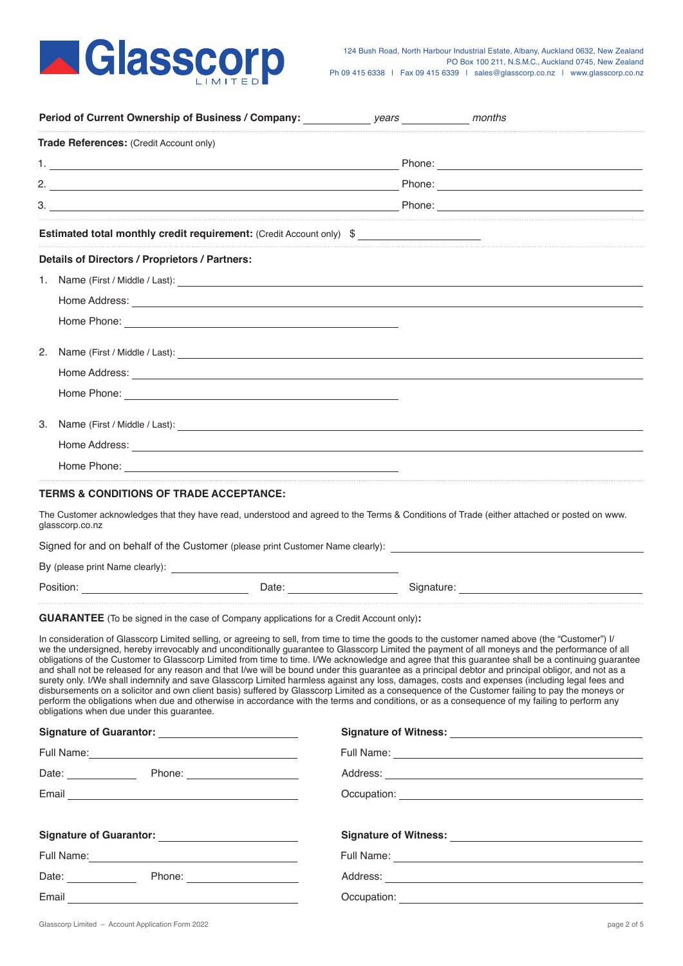

|                     | Period of Current Ownership of Business / Company:                                                                                                                                                                                                                                                                                                                                                                                                                                                                                                                                                                                                                                                                                                                                                                                                                                                                                                                                                                                                                                                                                                                                                                |                                                                                                                                                                                                                                |                                                                                                                                                                                                                                |  |
|---------------------|-------------------------------------------------------------------------------------------------------------------------------------------------------------------------------------------------------------------------------------------------------------------------------------------------------------------------------------------------------------------------------------------------------------------------------------------------------------------------------------------------------------------------------------------------------------------------------------------------------------------------------------------------------------------------------------------------------------------------------------------------------------------------------------------------------------------------------------------------------------------------------------------------------------------------------------------------------------------------------------------------------------------------------------------------------------------------------------------------------------------------------------------------------------------------------------------------------------------|--------------------------------------------------------------------------------------------------------------------------------------------------------------------------------------------------------------------------------|--------------------------------------------------------------------------------------------------------------------------------------------------------------------------------------------------------------------------------|--|
|                     | Trade References: (Credit Account only)                                                                                                                                                                                                                                                                                                                                                                                                                                                                                                                                                                                                                                                                                                                                                                                                                                                                                                                                                                                                                                                                                                                                                                           |                                                                                                                                                                                                                                |                                                                                                                                                                                                                                |  |
|                     |                                                                                                                                                                                                                                                                                                                                                                                                                                                                                                                                                                                                                                                                                                                                                                                                                                                                                                                                                                                                                                                                                                                                                                                                                   |                                                                                                                                                                                                                                |                                                                                                                                                                                                                                |  |
|                     |                                                                                                                                                                                                                                                                                                                                                                                                                                                                                                                                                                                                                                                                                                                                                                                                                                                                                                                                                                                                                                                                                                                                                                                                                   |                                                                                                                                                                                                                                |                                                                                                                                                                                                                                |  |
|                     |                                                                                                                                                                                                                                                                                                                                                                                                                                                                                                                                                                                                                                                                                                                                                                                                                                                                                                                                                                                                                                                                                                                                                                                                                   |                                                                                                                                                                                                                                |                                                                                                                                                                                                                                |  |
|                     | <b>Estimated total monthly credit requirement:</b> (Credit Account only) \$                                                                                                                                                                                                                                                                                                                                                                                                                                                                                                                                                                                                                                                                                                                                                                                                                                                                                                                                                                                                                                                                                                                                       |                                                                                                                                                                                                                                |                                                                                                                                                                                                                                |  |
|                     | Details of Directors / Proprietors / Partners:                                                                                                                                                                                                                                                                                                                                                                                                                                                                                                                                                                                                                                                                                                                                                                                                                                                                                                                                                                                                                                                                                                                                                                    |                                                                                                                                                                                                                                |                                                                                                                                                                                                                                |  |
|                     | 1. Name (First / Middle / Last):                                                                                                                                                                                                                                                                                                                                                                                                                                                                                                                                                                                                                                                                                                                                                                                                                                                                                                                                                                                                                                                                                                                                                                                  |                                                                                                                                                                                                                                |                                                                                                                                                                                                                                |  |
|                     | Home Address: <u>example</u> and the set of the set of the set of the set of the set of the set of the set of the set of the set of the set of the set of the set of the set of the set of the set of the set of the set of the set                                                                                                                                                                                                                                                                                                                                                                                                                                                                                                                                                                                                                                                                                                                                                                                                                                                                                                                                                                               |                                                                                                                                                                                                                                |                                                                                                                                                                                                                                |  |
|                     |                                                                                                                                                                                                                                                                                                                                                                                                                                                                                                                                                                                                                                                                                                                                                                                                                                                                                                                                                                                                                                                                                                                                                                                                                   |                                                                                                                                                                                                                                |                                                                                                                                                                                                                                |  |
| 2.                  | Name (First / Middle / Last): 1988.                                                                                                                                                                                                                                                                                                                                                                                                                                                                                                                                                                                                                                                                                                                                                                                                                                                                                                                                                                                                                                                                                                                                                                               |                                                                                                                                                                                                                                |                                                                                                                                                                                                                                |  |
|                     |                                                                                                                                                                                                                                                                                                                                                                                                                                                                                                                                                                                                                                                                                                                                                                                                                                                                                                                                                                                                                                                                                                                                                                                                                   |                                                                                                                                                                                                                                |                                                                                                                                                                                                                                |  |
|                     |                                                                                                                                                                                                                                                                                                                                                                                                                                                                                                                                                                                                                                                                                                                                                                                                                                                                                                                                                                                                                                                                                                                                                                                                                   |                                                                                                                                                                                                                                |                                                                                                                                                                                                                                |  |
| 3.                  |                                                                                                                                                                                                                                                                                                                                                                                                                                                                                                                                                                                                                                                                                                                                                                                                                                                                                                                                                                                                                                                                                                                                                                                                                   |                                                                                                                                                                                                                                |                                                                                                                                                                                                                                |  |
|                     |                                                                                                                                                                                                                                                                                                                                                                                                                                                                                                                                                                                                                                                                                                                                                                                                                                                                                                                                                                                                                                                                                                                                                                                                                   |                                                                                                                                                                                                                                |                                                                                                                                                                                                                                |  |
|                     |                                                                                                                                                                                                                                                                                                                                                                                                                                                                                                                                                                                                                                                                                                                                                                                                                                                                                                                                                                                                                                                                                                                                                                                                                   |                                                                                                                                                                                                                                |                                                                                                                                                                                                                                |  |
|                     | Signed for and on behalf of the Customer (please print Customer Name clearly):                                                                                                                                                                                                                                                                                                                                                                                                                                                                                                                                                                                                                                                                                                                                                                                                                                                                                                                                                                                                                                                                                                                                    |                                                                                                                                                                                                                                |                                                                                                                                                                                                                                |  |
|                     | Position: The contract of the contract of the contract of the contract of the contract of the contract of the contract of the contract of the contract of the contract of the contract of the contract of the contract of the                                                                                                                                                                                                                                                                                                                                                                                                                                                                                                                                                                                                                                                                                                                                                                                                                                                                                                                                                                                     | Date: the contract of the contract of the contract of the contract of the contract of the contract of the contract of the contract of the contract of the contract of the contract of the contract of the contract of the cont | Signature: expansion of the state of the state of the state of the state of the state of the state of the state of the state of the state of the state of the state of the state of the state of the state of the state of the |  |
|                     | <b>GUARANTEE</b> (To be signed in the case of Company applications for a Credit Account only):<br>In consideration of Glasscorp Limited selling, or agreeing to sell, from time to time the goods to the customer named above (the "Customer") I/<br>we the undersigned, hereby irrevocably and unconditionally quarantee to Glasscorp Limited the payment of all moneys and the performance of all<br>obligations of the Customer to Glasscorp Limited from time to time. I/We acknowledge and agree that this guarantee shall be a continuing guarantee<br>and shall not be released for any reason and that I/we will be bound under this quarantee as a principal debtor and principal obligor, and not as a<br>surety only. I/We shall indemnify and save Glasscorp Limited harmless against any loss, damages, costs and expenses (including legal fees and<br>disbursements on a solicitor and own client basis) suffered by Glasscorp Limited as a consequence of the Customer failing to pay the moneys or<br>perform the obligations when due and otherwise in accordance with the terms and conditions, or as a consequence of my failing to perform any<br>obligations when due under this guarantee. |                                                                                                                                                                                                                                |                                                                                                                                                                                                                                |  |
|                     |                                                                                                                                                                                                                                                                                                                                                                                                                                                                                                                                                                                                                                                                                                                                                                                                                                                                                                                                                                                                                                                                                                                                                                                                                   |                                                                                                                                                                                                                                |                                                                                                                                                                                                                                |  |
|                     |                                                                                                                                                                                                                                                                                                                                                                                                                                                                                                                                                                                                                                                                                                                                                                                                                                                                                                                                                                                                                                                                                                                                                                                                                   |                                                                                                                                                                                                                                |                                                                                                                                                                                                                                |  |
| Date: Phone: Phone: |                                                                                                                                                                                                                                                                                                                                                                                                                                                                                                                                                                                                                                                                                                                                                                                                                                                                                                                                                                                                                                                                                                                                                                                                                   |                                                                                                                                                                                                                                |                                                                                                                                                                                                                                |  |
|                     |                                                                                                                                                                                                                                                                                                                                                                                                                                                                                                                                                                                                                                                                                                                                                                                                                                                                                                                                                                                                                                                                                                                                                                                                                   |                                                                                                                                                                                                                                |                                                                                                                                                                                                                                |  |
|                     | Signature of Guarantor: <u>Cambridge Community of Guarantee</u>                                                                                                                                                                                                                                                                                                                                                                                                                                                                                                                                                                                                                                                                                                                                                                                                                                                                                                                                                                                                                                                                                                                                                   |                                                                                                                                                                                                                                |                                                                                                                                                                                                                                |  |
|                     | Full Name: Name and South Art and South Art and South Art and South Art and South Art and South Art and South                                                                                                                                                                                                                                                                                                                                                                                                                                                                                                                                                                                                                                                                                                                                                                                                                                                                                                                                                                                                                                                                                                     |                                                                                                                                                                                                                                |                                                                                                                                                                                                                                |  |
|                     | Date: Phone: Phone:                                                                                                                                                                                                                                                                                                                                                                                                                                                                                                                                                                                                                                                                                                                                                                                                                                                                                                                                                                                                                                                                                                                                                                                               |                                                                                                                                                                                                                                |                                                                                                                                                                                                                                |  |
|                     | Email                                                                                                                                                                                                                                                                                                                                                                                                                                                                                                                                                                                                                                                                                                                                                                                                                                                                                                                                                                                                                                                                                                                                                                                                             | Occupation:                                                                                                                                                                                                                    |                                                                                                                                                                                                                                |  |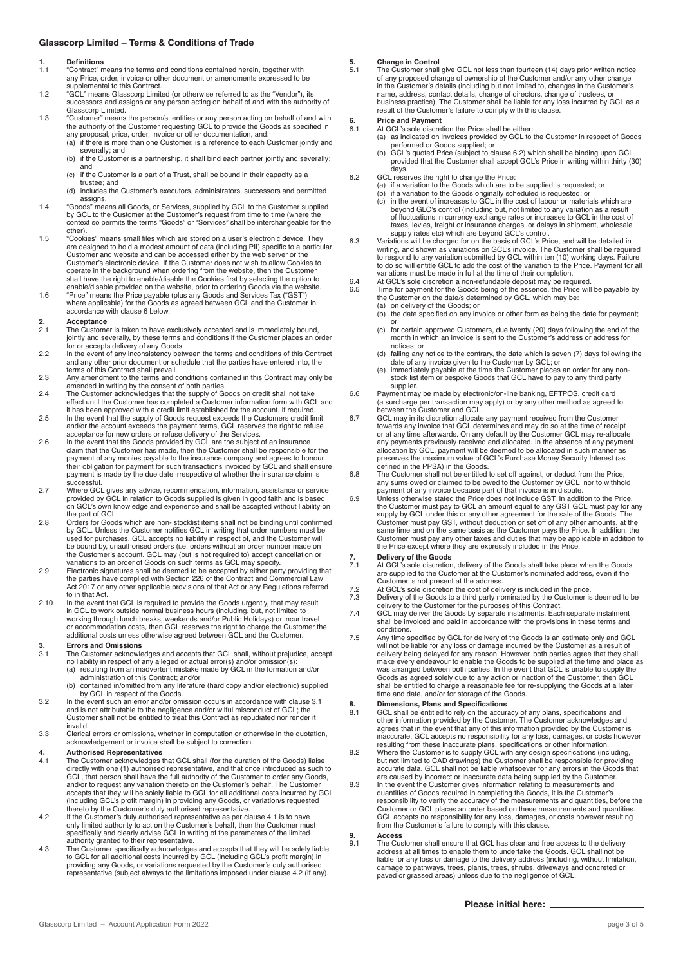### **Glasscorp Limited – Terms & Conditions of Trade**

- **1. Definitions** 1.1 "Contract" means the terms and conditions contained herein, together with any Price, order, invoice or other document or amendments expressed to be any mind, and an interest of the<br>supplemental to this Contract.
- 1.2 "GCL" means Glasscorp Limited (or otherwise referred to as the "Vendor"), its uccessors and assigns or any person acting on behalf of and with the authority of Glasscorp Limited.
- 1.3 "Customer" means the person/s, entities or any person acting on behalf of and with the authority of the Customer requesting GCL to provide the Goods as specified in any proposal, price, order, invoice or other documentation, and:
	- (a) if there is more than one Customer, is a reference to each Customer jointly and severally; and (b) if the Customer is a partnership, it shall bind each partner jointly and severally;
	- and (c) if the Customer is a part of a Trust, shall be bound in their capacity as a
	- trustee; and (d) includes the Customer's executors, administrators, successors and permitted assigns.
- 1.4 "Goods" means all Goods, or Services, supplied by GCL to the Customer supplied by GCL to the Customer at the Customer's request from time to time (where the context so permits the terms "Goods" or "Services" shall be interchangeable for the other).
- 1.5 "Cookies" means small files which are stored on a user's electronic device. They are designed to hold a modest amount of data (including PII) specific to a particular Customer and website and can be accessed either by the web server or the Customer's electronic device. If the Customer does not wish to allow Cookies to<br>operate in the background when ordering from the website, then the Customer<br>shall have the right to enable/disable the Cookies first by select
- accordance with clause 6 below.

# **2. Acceptance**

- 2.1 The Customer is taken to have exclusively accepted and is immediately bound, jointly and severally, by these terms and conditions if the Customer places an order for or accepts delivery of any Goods.
- 2.2 In the event of any inconsistency between the terms and conditions of this Contract and any other prior document or schedule that the parties have entered into, the
- the terms of this Contract shall prevail.<br>
Any amendment to the terms and conditions contained in this Contract may only be<br>
Any amendment to the terms and conditions contained in this Contract may only be
- 2.3 Any amendment to the terms and conditions contained in this Contract may only be<br>amended in writing by the consent of both parties.<br>The Customer acknowledges that the supply of Goods on credit shall not take<br>effect unt
- 2.5 In the event that the supply of Goods request exceeds the Customers credit limit and/or the account exceeds the payment terms, GCL reserves the right to refuse
- acceptance for new orders or refuse delivery of the Services. 2.6 In the event that the Goods provided by GCL are the subject of an insurance claim that the Customer has made, then the Customer shall be responsible for the payment of any monies payable to the insurance company and agrees to honour<br>their obligation for payment for such transactions invoiced by GCL and shall ensure<br>payment is made by the due date irrespective of whether the in successful.
- 2.7 Where GCL gives any advice, recommendation, information, assistance or service provided by GCL in relation to Goods supplied is given in good faith and is based on GCL's own knowledge and experience and shall be accepted without liability on the part of GCL
- 2.8 Orders for Goods which are non- stocklist items shall not be binding until confirmed<br>by GCL. Unless the Customer notifies GCL in writing that order numbers must be<br>used for purchases. GCL accepts no liability in respec be bound by, unauthorised orders (i.e. orders without an order number made on the Customer's account. GCL may (but is not required to) accept cancellation or variations to an order of Goods on such terms as GCL may specify.
- 2.9 Electronic signatures shall be deemed to be accepted by either party providing that<br>the parties have complied with Section 226 of the Contract and Commercial Law<br>Act 2017 or any other applicable provisions of that Act to in that Act.
- 2.10 In the event that GCL is required to provide the Goods urgently, that may result in GCL to work outside normal business hours (including, but, not limited to<br>working through lunch breaks, weekends and/or Public Holidays) or incur travel<br>or accommodation costs, then GCL reserves the right to charge the

# **3. Errors and Omissions**<br>**3.1** The Customer acknowle

- The Customer acknowledges and accepts that GCL shall, without prejudice, accept no liability in respect of any alleged or actual error(s) and/or omission(s): (a) resulting from an inadvertent mistake made by GCL in the formation and/or
- administration of this Contract; and/or (b) contained in/omitted from any literature (hard copy and/or electronic) supplied
- by GCL in respect of the Goods. 3.2 In the event such an error and/or omission occurs in accordance with clause 3.1 and is not attributable to the negligence and/or wilful misconduct of GCL; the Customer shall not be entitled to treat this Contract as repudiated nor render it invalid.
- 3.3 Clerical errors or omissions, whether in computation or otherwise in the quotation, acknowledgement or invoice shall be subject to correction.

- **4. Authorised Representatives** 4.1 The Customer acknowledges that GCL shall (for the duration of the Goods) liaise directly with one (1) authorised representative, and that once introduced as such to GCL, that person shall have the full authority of the Customer to order any Goods, and/or to request any variation thereto on the Customer's behalf. The Customer accepts that they will be solely liable to GCL for all additional costs incurred by GCL (including GCL's profit margin) in providing any Goods, or variation/s requested thereto by the Customer's duly authorised representative.
- 4.2 If the Customer's duly authorised representative as per clause 4.1 is to have<br>only limited authority to act on the Customer's behalf, then the Customer must<br>specifically and clearly advise GCL in writing of the paramet
- 4.3 The Customer specifically acknowledges and accepts that they will be solely liable to GCL for all additional costs incurred by GCL (including GCL's profit margin) in providing any Goods, or variations requested by the Customer's duly authorised representative (subject always to the limitations imposed under clause 4.2 (if any).

# **5. Change in Control**<br>5.1 The Customer shall

5.1 The Customer shall give GCL not less than fourteen (14) days prior written notice of any proposed change of ownership of the Customer and/or any other change in the Customer's details (including but not limited to, changes in the Customer's name, address, contact details, change of directors, change of trustees, or<br>business practice). The Customer shall be liable for any loss incurred by GCL as a<br>result of the Customer's failure to comply with this clause.

# **6.** Price and Payment<br>6.1 At GCL's sole discret

- At GCL's sole discretion the Price shall be either.
- (a) as indicated on invoices provided by GCL to the Customer in respect of Goods<br>performed or Goods supplied; or<br>(b) GCL's quoted Price (subject to clause 6.2) which shall be binding upon GCL<br>provided that the Customer sha
- days. 6.2 GCL reserves the right to change the Price:
	- (a) if a variation to the Goods which are to be supplied is requested; or (b) if a variation to the Goods originally scheduled is requested; or
		- (c) in the event of increases to GCL in the cost of labour or materials which are beyond GLC's control (including but, not limited to any variation as a result
- of fluctuations in currency exchange rates or increases to GCL in the cost of<br>taxes, levies, freight or insurance charges, or delays in shipment, wholesale<br>supply rates etc) which are beyond GCL's control.<br>6.3 Variations w
- writing, and shown as variations on GCL's invoice. The Customer shall be required to respond to any variation submitted by GCL within ten (10) working days. Failure to do so will entitle GCL to add the cost of the variation to the Price. Payment for all variations must be made in full at the time of their completion.
- 6.4 At GCL's sole discretion a non-refundable deposit may be required.<br>6.5 Time for payment for the Goods being of the essence, the Price will
	- Time for payment for the Goods being of the essence, the Price will be payable by the Customer on the date/s determined by GCL, which may be:
		- (a) on delivery of the Goods; or<br>(b) the date specified on any in
		- the date specified on any invoice or other form as being the date for payment;
		- or (c) for certain approved Customers, due twenty (20) days following the end of the month in which an invoice is sent to the Customer's address or address for notices; or
		- failing any notice to the contrary, the date which is seven (7) days following the
		- date of any invoice given to the Customer by GCL; or (e) immediately payable at the time the Customer places an order for any nonstock list item or bespoke Goods that GCL have to pay to any third party supplier.
- 6.6 Payment may be made by electronic/on-line banking, EFTPOS, credit card (a surcharge per transaction may apply) or by any other method as agreed to between the Customer and GCL.
- 6.7 GCL may in its discretion allocate any payment received from the Customer towards any invoice that GCL determines and may do so at the time of receipt or at any time afterwards. On any default by the Customer GCL may re-allocate any payments previously received and allocated. In the absence of any payment allocation by GCL, payment will be deemed to be allocated in such manner preserves the maximum value of GCL's Purchase Money Security Interest (as
- defined in the PPSA) in the Goods. 6.8 The Customer shall not be entitled to set off against, or deduct from the Price, any sums owed or claimed to be owed to the Customer by GCL nor to withhold<br>nayment of any invoice because part of that invoice is in dispute.
- payment of any invoice because part of that invoice is in dispute.<br>6.9 Unless otherwise stated the Price, does not include GST. In addition to the Price,<br>the Customer must pay to GCL an amount equal to any GST GCL must pay supply by GCL under this or any other agreement for the sale of the Goods. The Customer must pay GST, without deduction or set off of any other amounts, at the<br>same time and on the same basis as the Customer pays the Price. In addition, the<br>Customer must pay any other taxes and duties that may be app the Price except where they are expressly included in the Price.

- **7. Delivery of the Goods**<br>**7.1** At GCL's sole discretion 7.1 At GCL's sole discretion, delivery of the Goods shall take place when the Goods are supplied to the Customer at the Customer's nominated address, even if the
- Customer is not present at the address. 7.2 At GCL's sole discretion the cost of delivery is included in the price.
- 7.3 Delivery of the Goods to a third party nominated by the Customer is deemed to be delivery to the Customer for the purposes of this Contract.
- 7.4 GCL may deliver the Goods by separate instalments. Each separate instalment shall be invoiced and paid in accordance with the provisions in these terms and conditions.
- 7.5 Any time specified by GCL for delivery of the Goods is an estimate only and GCL will not be liable for any loss or damage incurred by the Customer as a result of<br>delivery being delayed for any reason. However, both parties agree that they shall<br>make every endeavour to enable the Goods to be supplied a was arranged between both parties. In the event that GCL is unable to supply the Goods as agreed solely due to any action or inaction of the Customer, then GCL shall be entitled to charge a reasonable fee for re-supplying the Goods at a later time and date, and/or for storage of the Goods.

- **8. Dimensions, Plans and Specifications** 8.1 GCL shall be entitled to rely on the accuracy of any plans, specifications and other information provided by the Customer. The Customer acknowledges and<br>agrees that in the event that any of this information provided by the Customer is<br>inaccurate, GCL accepts no responsibility for any loss, damages, o
- 
- accurate data. GCL shall not be liable whatsoever for any errors in the Goods that<br>are caused by incorrect or inaccurate data being supplied by the Customer.<br>In the event the Customer gives information relating to measurem GCL accepts no responsibility for any loss, damages, or costs however resulting from the Customer's failure to comply with this clause.
- **9. Access**<br>**9.1 The Cus**
- The Customer shall ensure that GCL has clear and free access to the delivery address at all times to enable them to undertake the Goods. GCL shall not be liable for any loss or damage to the delivery address (including, without limitation, damage to pathways, trees, plants, trees, shrubs, driveways and concreted or paved or grassed areas) unless due to the negligence of GCL.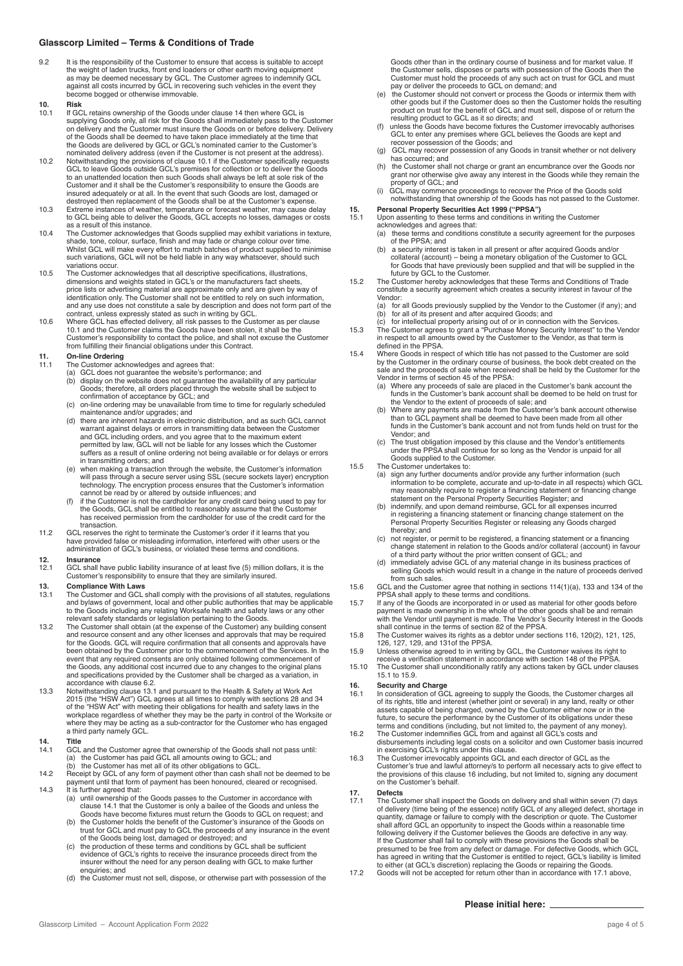### **Glasscorp Limited – Terms & Conditions of Trade**

- 9.2 It is the responsibility of the Customer to ensure that access is suitable to accept the weight of laden trucks, front end loaders or other earth moving equipment<br>as may be deemed necessary by GCL. The Customer agrees to indemnify GCL<br>against all costs incurred by GCL in recovering such vehicles in the eve become bogged or otherwise immovable.
- **10. Risk**
- 10.1 If GCL retains ownership of the Goods under clause 14 then where GCL is supplying Goods only, all risk for the Goods shall immediately pass to the Customer on delivery and the Customer must insure the Goods on or before delivery. Delivery of the Goods shall be deemed to have taken place immediately at the time that the Goods are delivered by GCL or GCL's nominated carrier to the Customer's
- nominated delivery address (even if the Customer is not present at the address). 10.2 Notwithstanding the provisions of clause 10.1 if the Customer specifically requests GCL to leave Goods outside GCL's premises for collection or to deliver the Goods to an unattended location then such Goods shall always be left at sole risk of the Customer and it shall be the Customer's responsibility to ensure the Goods are insured adequately or at all. In the event that such Goods are lost, damaged or destroyed then replacement of the Goods shall be at the Customer's expense. 10.3 Extreme instances of weather, temperature or forecast weather, may cause delay
- to GCL being able to deliver the Goods, GCL accepts no losses, damages or costs as a result of this instance.
- 10.4 The Customer acknowledges that Goods supplied may exhibit variations in texture. shade, tone, colour, surface, finish and may fade or change colour over time.<br>Whilst GCL will make every effort to match batches of product supplied to minimise<br>such variations, GCL will not be held liable in any way whats variations occur.
- 10.5 The Customer acknowledges that all descriptive specifications, illustrations, dimensions and weights stated in GCL's or the manufacturers fact sheets, price lists or advertising material are approximate only and are given by way of identification only. The Customer shall not be entitled to rely on such information, and any use does not constitute a sale by description and does not form part of the
- contract, unless expressly stated as such in writing by GCL. 10.6 Where GCL has effected delivery, all risk passes to the Customer as per clause 10.1 and the Customer claims the Goods have been stolen, it shall be the Customer's responsibility to contact the police, and shall not excuse the Customer from fulfilling their financial obligations under this Contract.

# **11. On-line Ordering**

- 
- 11.1 The Customer acknowledges and agrees that: (a) GCL does not guarantee the website's performance; and (b) display on the website does not guarantee the availability of any particular Goods; therefore, all orders placed through the website shall be subject to confirmation of acceptance by GCL; and
	-
	- (c) on-line ordering may be unavailable from time to time for regularly scheduled<br>maintenance and/or upgrades; and<br>(d) there are inherent hazards in electronic distribution, and as such GCL cannot<br>warrant against delays or and GCL including orders, and you agree that to the maximum extent permitted by law, GCL will not be liable for any losses which the Customer suffers as a result of online ordering not being available or for delays or errors in transmitting orders; and
	- (e) when making a transaction through the website, the Customer's information will pass through a secure server using SSL (secure sockets layer) encryption<br>technology. The encryption process ensures that the Customer's information<br>cannot be read by or altered by outside influences; and
	- (f) if the Customer is not the cardholder for any credit card being used to pay for the Goods, GCL shall be entitled to reasonably assume that the Customer has received permission from the cardholder for use of the credit card for the transaction.
- 11.2 GCL reserves the right to terminate the Customer's order if it learns that you have provided false or misleading information, interfered with other users or the administration of GCL's business, or violated these terms and conditions.

**12. Insurance** 12.1 GCL shall have public liability insurance of at least five (5) million dollars, it is the Customer's responsibility to ensure that they are similarly insured.

## **13. Compliance With Laws**<br>**13.1** The Customer and GCL

- 13.1 The Customer and GCL shall comply with the provisions of all statutes, regulations and bylaws of government, local and other public authorities that may be applicable to the Goods including any relating Worksafe health and safety laws or any other relevant safety standards or legislation pertaining to the Goods.
- 13.2 The Customer shall obtain (at the expense of the Customer) any building consent and resource consent and any other licenses and approvals that may be required for the Goods. GCL will require confirmation that all consents and approvals have been obtained by the Customer prior to the commencement of the Services. In the event that any required consents are only obtained following commencement of the Goods, any additional cost incurred due to any changes to the original plans
- and specifications provided by the Customer shall be charged as a variation, in<br>accordance with clause 6.2.<br>Notwithstanding clause 13.1 and pursuant to the Health & Safety at Work Act<br>2015 (the "HSW Act") GCL agrees at all where they may be acting as a sub-contractor for the Customer who has engaged a third party namely GCL.

- **14. Title**<br>
14.1 GCL and the Customer agree that ownership of the Goods shall not pass until:<br>
(a) the Customer has paid GCL all amounts owing to GCL; and<br>
(b) the Customer has met all of its other obligations to GCL.
- 14.2 Receipt by GCL of any form of payment other than cash shall not be deemed to be payment until that form of payment has been honoured, cleared or recognised. 14.3 It is further agreed that:
	- (a) until ownership of the Goods passes to the Customer in accordance with clause 14.1 that the Customer is only a bailee of the Goods and unless the Goods have become fixtures must return the Goods to GCL on request; and
	- (b) the Customer holds the benefit of the Customer's insurance of the Goods on trust for GCL and must pay to GCL the proceeds of any insurance in the event of the Goods being lost, damaged or destroyed; and
	- (c) the production of these terms and conditions by GCL shall be sufficient<br>evidence of GCL's rights to receive the insurnee proceeds direct from the<br>insurer without the need for any person dealing with GCL to make further enquiries; and
	- (d) the Customer must not sell, dispose, or otherwise part with possession of the

Goods other than in the ordinary course of business and for market value. If the Customer sells, disposes or parts with possession of the Goods then the Customer must hold the proceeds of any such act on trust for GCL and must pay or deliver the proceeds to GCL on demand; and

- (e) the Customer should not convert or process the Goods or intermix them with<br>other goods but if the Customer does so then the Customer holds the resulting<br>product on trust for the benefit of GCL and must sell, dispose of
- resulting product to GCL as it so directs; and (f) unless the Goods have become fixtures the Customer irrevocably authorises GCL to enter any premises where GCL believes the Goods are kept and recover possession of the Goods; and
- GCL may recover possession of any Goods in transit whether or not delivery has occurred: and
- has occurred; and<br>
(h) the Customer shall not charge or grant an encumbrance over the Goods nor<br>
grant nor otherwise give away any interest in the Goods while they remain the<br>
property of GCL; and
- (i) GCL may commence proceedings to recover the Price of the Goods sold notwithstanding that ownership of the Goods has not passed to the Customer.

# **15. Personal Property Securities Act 1999 ("PPSA")**

- 15.1 Upon assenting to these terms and conditions in writing the Customer acknowledges and agrees that:
	- (a) these terms and conditions constitute a security agreement for the purposes of the PPSA; and
	- (b) a security interest is taken in all present or after acquired Goods and/or collateral (account) being a monetary obligation of the Customer to GCL for Goods that have previously been supplied and that will be supplied in the future by GCL to the Customer.
- 15.2 The Customer hereby acknowledges that these Terms and Conditions of Trade constitute a security agreement which creates a security interest in favour of the Vendor:<br>(a) for
	- (a) for all Goods previously supplied by the Vendor to the Customer (if any); and (b) for all of its present and after acquired Goods; and (c) for intellectual property arising out of or in connection with the Services.
	-
- (b) for all of its present and after acquired Goods; and<br>(c) for intellectual property arising out of or in connection with the Services.<br>15.3 The Customer agrees to grant a "Purchase Money Security Interest" to the Vendor in respect to all amounts owed by the Customer to the Vendor, as that term is defined in the PPSA.
- 15.4 Where Goods in respect of which title has not passed to the Customer are sold by the Customer in the ordinary course of business, the book debt created on the sale and the proceeds of sale when received shall be held by the Customer for the Vendor in terms of section 45 of the PPSA:
	- (a) Where any proceeds of sale are placed in the Customer's bank account the funds in the Customer's bank account shall be deemed to be held on trust for the Vendor to the extent of proceeds of sale; and
	- (b) Where any payments are made from the Customer's bank account otherwise<br>than to GCL payment shall be deemed to have been made from all other<br>funds in the Customer's bank account and not from funds held on trust for the Vendor; and
	- (c) The trust obligation imposed by this clause and the Vendor's entitlements under the PPSA shall continue for so long as the Vendor is unpaid for all Goods supplied to the Customer.
	-
- 15.5 The Customer undertakes to: (a) sign any further documents and/or provide any further information (such information to be complete, accurate and up-to-date in all respects) which GCL may reasonably require to register a financing statement or financing change statement on the Personal Property Securities Register; and (b) indemnify, and upon demand reimburse, GCL for all expenses incurred
	- in registering a financing statement or financing change statement on the Personal Property Securities Register or releasing any Goods charged thereby; and
	- (c) not register, or permit to be registered, a financing statement or a financing change statement in relation to the Goods and/or collateral (account) in favour<br>of a third party without the prior written consent of GCL; and<br>immediately advise GCL of any material change in its business practices of
	- selling Goods which would result in a change in the nature of proceeds derived
- from such sales. 15.6 GCL and the Customer agree that nothing in sections 114(1)(a), 133 and 134 of the PPSA shall apply to these terms and conditions. 15.7 If any of the Goods are incorporated in or used as material for other goods before
- payment is made ownership in the whole of the other goods shall be and remain with the Vendor until payment is made. The Vendor's Security Interest in the Goods
- shall continue in the terms of section 82 of the PPSA. 15.8 The Customer waives its rights as a debtor under sections 116, 120(2), 121, 125, 126, 127, 129, and 131of the PPSA. 15.9 Unless otherwise agreed to in writing by GCL, the Customer waives its right to
- receive a verification statement in accordance with section 148 of the PPSA.
- 15.10 The Customer shall unconditionally ratify any actions taken by GCL under clauses 15.1 to 15.9.

# **16. Security and Charge**<br>**16.1 In consideration of GC**

- 16.1 In consideration of GCL agreeing to supply the Goods, the Customer charges all of its rights, title and interest (whether joint or several) in any land, realty or other assets capable of being charged, owned by the Customer either now or in the future, to secure the performance by the Customer of its obligations under these
- terms and conditions (including, but not limited to, the payment of any money). 16.2 The Customer indemnifies GCL from and against all GCL's costs and disbursements including legal costs on a solicitor and own Customer basis incurred in exercising GCL's rights under this clause. 16.3 The Customer irrevocably appoints GCL and each director of GCL as the
- Customer's true and lawful attorney/s to perform all necessary acts to give effect to the provisions of this clause 16 including, but not limited to, signing any document on the Customer's behalf.

## **17. Defects**

- 17.1 The Customer shall inspect the Goods on delivery and shall within seven (7) days of delivery (time being of the essence) notify GCL of any alleged defect, shortage in quantity, damage or failure to comply with the description or quote. The Customer shall afford GCL an opportunity to inspect the Goods within a reasonable time following delivery if the Customer believes the Goods are defective in any way.<br>If the Customer shall fail to comply with these provisions the Goods shall be<br>presumed to be free from any defect or damage. For defective Goo to either (at GCL's discretion) replacing the Goods or repairing the Goods. 17.2 Goods will not be accepted for return other than in accordance with 17.1 above,
- 

### **Please initial here:**